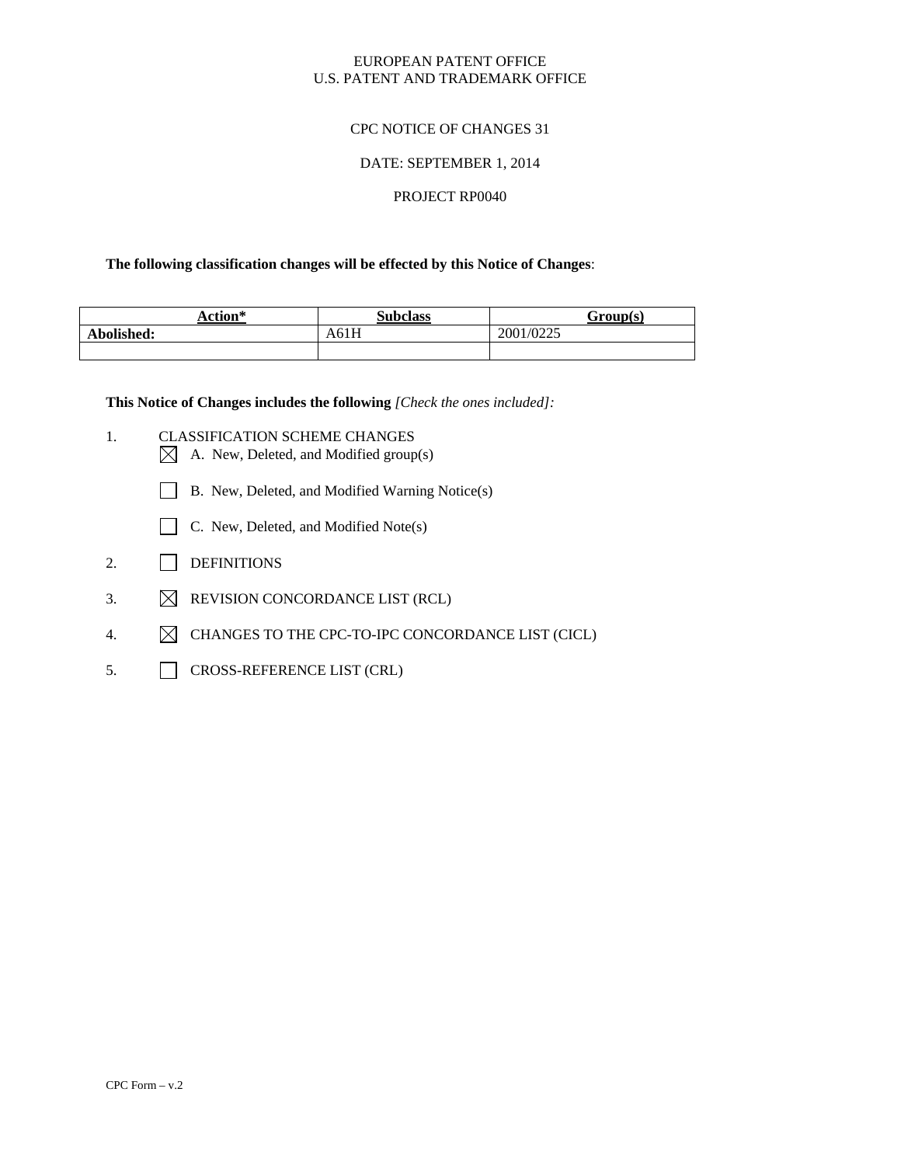#### EUROPEAN PATENT OFFICE U.S. PATENT AND TRADEMARK OFFICE

# CPC NOTICE OF CHANGES 31

#### DATE: SEPTEMBER 1, 2014

#### PROJECT RP0040

#### **The following classification changes will be effected by this Notice of Changes**:

| Action*    | <b>Subclass</b> | Group(s)  |
|------------|-----------------|-----------|
| Abolished: | A61H            | 2001/0225 |
|            |                 |           |

**This Notice of Changes includes the following** *[Check the ones included]:* 

- 1. CLASSIFICATION SCHEME CHANGES A. New, Deleted, and Modified group(s)
	- B. New, Deleted, and Modified Warning Notice(s)
	- C. New, Deleted, and Modified Note(s)
- 2. DEFINITIONS
- 3.  $\boxtimes$  REVISION CONCORDANCE LIST (RCL)
- 4.  $\boxtimes$  CHANGES TO THE CPC-TO-IPC CONCORDANCE LIST (CICL)
- 5. CROSS-REFERENCE LIST (CRL)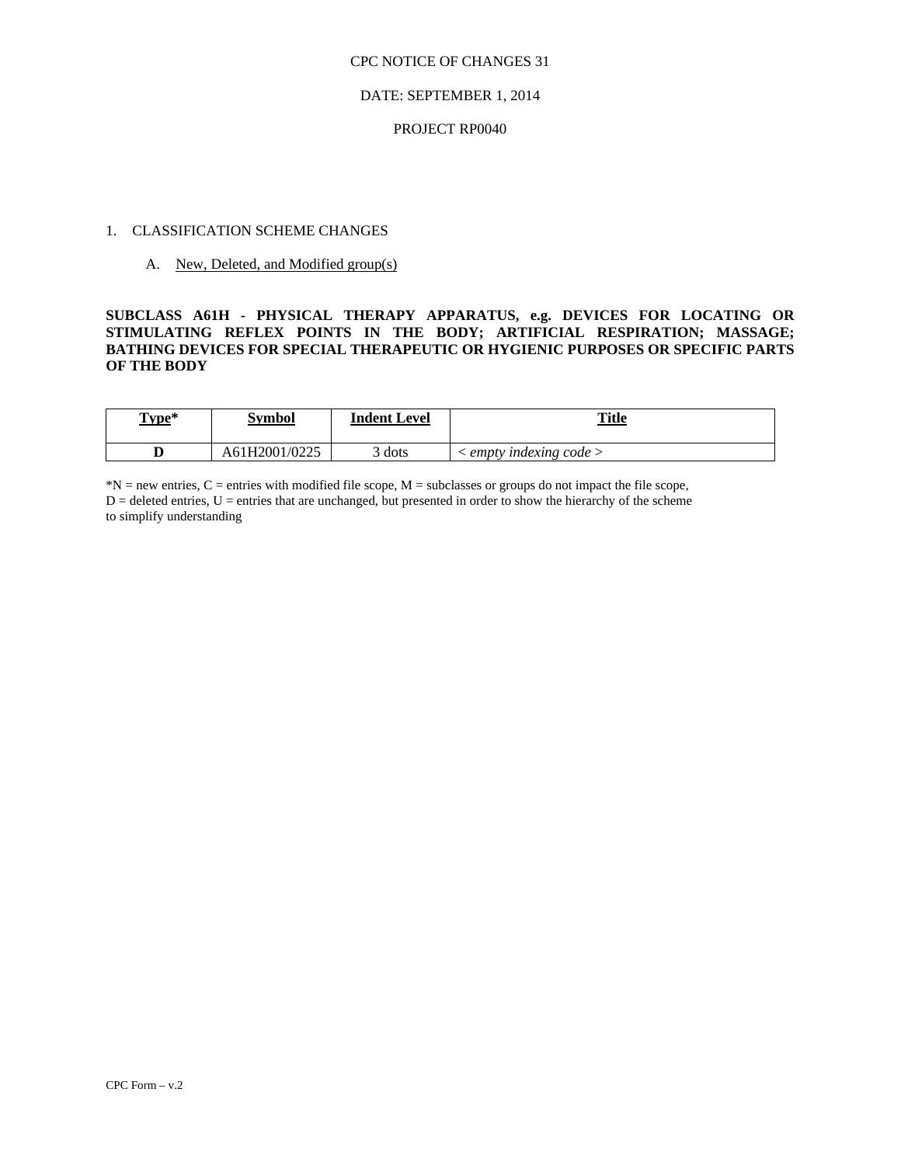#### CPC NOTICE OF CHANGES 31

#### DATE: SEPTEMBER 1, 2014

# 1. CLASSIFICATION SCHEME CHANGES PROJECT RP0040 ${\bf \texttt{PROJECT~RPO040}}$ 1. CLASSIFICATION SCHEME CHANGES

A. New, Deleted, and Modified group(s)

#### **STIMULATING REFLEX POINTS IN THE BODY; ARTIFICIAL RESPIRATION; MASSAGE; SUBCLASS A61H - PHYSICAL THERAPY APPARATUS, e.g. DEVICES FOR LOCATING OR BATHING DEVICES FOR SPECIAL THERAPEUTIC OR HYGIENIC PURPOSES OR SPECIFIC PARTS OF THE BODY**

| Type* | Symbol        | Indent Level | <b>Title</b>             |  |
|-------|---------------|--------------|--------------------------|--|
|       | A61H2001/0225 | dots         | indexing code ><br>empty |  |

 $D =$  deleted entries,  $U =$  entries that are unchanged, but presented in order to show the hierarchy of the scheme to simplify understanding \*N = new entries, C = entries with modified file scope, M = subclasses or groups do not impact the file scope,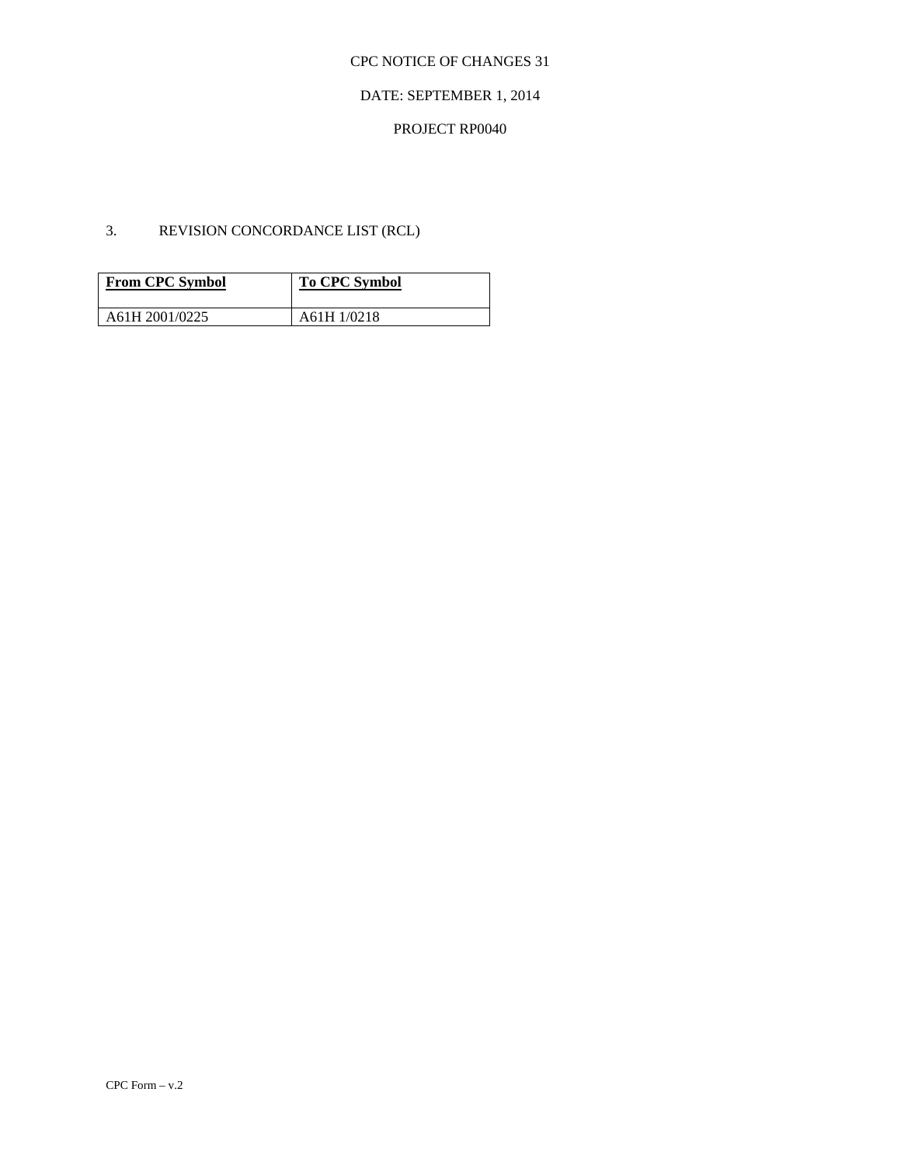# CPC NOTICE OF CHANGES 31

## DATE: SEPTEMBER 1, 2014

# PROJECT RP0040

# 3. REVISION CONCORDANCE LIST (RCL)

| <b>From CPC Symbol</b> | <b>To CPC Symbol</b> |
|------------------------|----------------------|
| A61H 2001/0225         | A61H 1/0218          |